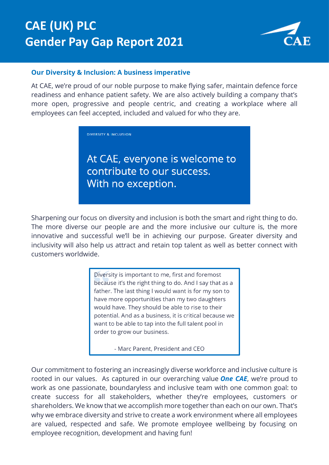# **CAE (UK) PLC Gender Pay Gap Report 2021**



#### **Our Diversity & Inclusion: A business imperative**

At CAE, we're proud of our noble purpose to make flying safer, maintain defence force readiness and enhance patient safety. We are also actively building a company that's more open, progressive and people centric, and creating a workplace where all employees can feel accepted, included and valued for who they are.

**DIVERSITY & INCLUSION** 

At CAE, everyone is welcome to contribute to our success. With no exception.

Sharpening our focus on diversity and inclusion is both the smart and right thing to do. The more diverse our people are and the more inclusive our culture is, the more innovative and successful we'll be in achieving our purpose. Greater diversity and inclusivity will also help us attract and retain top talent as well as better connect with customers worldwide.

> Diversity is important to me, first and foremost because it's the right thing to do. And I say that as a father. The last thing I would want is for my son to have more opportunities than my two daughters would have. They should be able to rise to their potential. And as a business, it is critical because we want to be able to tap into the full talent pool in order to grow our business.

> > - Marc Parent, President and CEO

Our commitment to fostering an increasingly diverse workforce and inclusive culture is rooted in our values. As captured in our overarching value *One CAE*, we're proud to work as one passionate, boundaryless and inclusive team with one common goal: to create success for all stakeholders, whether they're employees, customers or shareholders. We know that we accomplish more together than each on our own. That's why we embrace diversity and strive to create a work environment where all employees are valued, respected and safe. We promote employee wellbeing by focusing on employee recognition, development and having fun!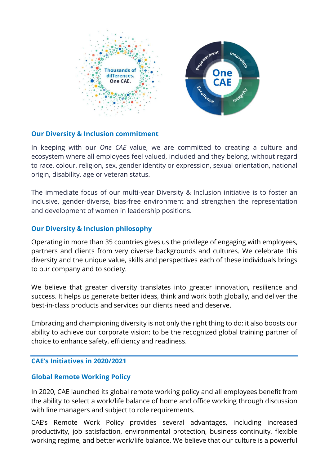

#### **Our Diversity & Inclusion commitment**

In keeping with our *One CAE* value, we are committed to creating a culture and ecosystem where all employees feel valued, included and they belong, without regard to race, colour, religion, sex, gender identity or expression, sexual orientation, national origin, disability, age or veteran status.

The immediate focus of our multi-year Diversity & Inclusion initiative is to foster an inclusive, gender-diverse, bias-free environment and strengthen the representation and development of women in leadership positions.

#### **Our Diversity & Inclusion philosophy**

Operating in more than 35 countries gives us the privilege of engaging with employees, partners and clients from very diverse backgrounds and cultures. We celebrate this diversity and the unique value, skills and perspectives each of these individuals brings to our company and to society.

We believe that greater diversity translates into greater innovation, resilience and success. It helps us generate better ideas, think and work both globally, and deliver the best-in-class products and services our clients need and deserve.

Embracing and championing diversity is not only the right thing to do; it also boosts our ability to achieve our corporate vision: to be the recognized global training partner of choice to enhance safety, efficiency and readiness.

#### **CAE's Initiatives in 2020/2021**

## **Global Remote Working Policy**

In 2020, CAE launched its global remote working policy and all employees benefit from the ability to select a work/life balance of home and office working through discussion with line managers and subject to role requirements.

CAE's Remote Work Policy provides several advantages, including increased productivity, job satisfaction, environmental protection, business continuity, flexible working regime, and better work/life balance. We believe that our culture is a powerful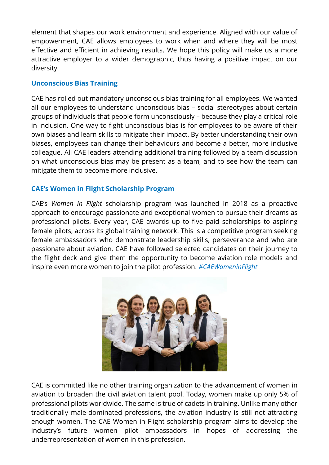element that shapes our work environment and experience. Aligned with our value of empowerment, CAE allows employees to work when and where they will be most effective and efficient in achieving results. We hope this policy will make us a more attractive employer to a wider demographic, thus having a positive impact on our diversity.

## **Unconscious Bias Training**

CAE has rolled out mandatory unconscious bias training for all employees. We wanted all our employees to understand unconscious bias – social stereotypes about certain groups of individuals that people form unconsciously – because they play a critical role in inclusion. One way to fight unconscious bias is for employees to be aware of their own biases and learn skills to mitigate their impact. By better understanding their own biases, employees can change their behaviours and become a better, more inclusive colleague. All CAE leaders attending additional training followed by a team discussion on what unconscious bias may be present as a team, and to see how the team can mitigate them to become more inclusive.

## **CAE's Women in Flight Scholarship Program**

CAE's *Women in Flight* scholarship program was launched in 2018 as a proactive approach to encourage passionate and exceptional women to pursue their dreams as professional pilots. Every year, CAE awards up to five paid scholarships to aspiring female pilots, across its global training network. This is a competitive program seeking female ambassadors who demonstrate leadership skills, perseverance and who are passionate about aviation. CAE have followed selected candidates on their journey to the flight deck and give them the opportunity to become aviation role models and inspire even more women to join the pilot profession. *#CAEWomeninFlight*



CAE is committed like no other training organization to the advancement of women in aviation to broaden the civil aviation talent pool. Today, women make up only 5% of professional pilots worldwide. The same is true of cadets in training. Unlike many other traditionally male-dominated professions, the aviation industry is still not attracting enough women. The CAE Women in Flight scholarship program aims to develop the industry's future women pilot ambassadors in hopes of addressing the underrepresentation of women in this profession.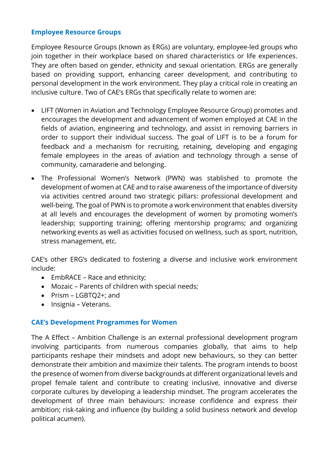#### **Employee Resource Groups**

Employee Resource Groups (known as ERGs) are voluntary, employee-led groups who join together in their workplace based on shared characteristics or life experiences. They are often based on gender, ethnicity and sexual orientation. ERGs are generally based on providing support, enhancing career development, and contributing to personal development in the work environment. They play a critical role in creating an inclusive culture. Two of CAE's ERGs that specifically relate to women are:

- LIFT (Women in Aviation and Technology Employee Resource Group) promotes and encourages the development and advancement of women employed at CAE in the fields of aviation, engineering and technology, and assist in removing barriers in order to support their individual success. The goal of LIFT is to be a forum for feedback and a mechanism for recruiting, retaining, developing and engaging female employees in the areas of aviation and technology through a sense of community, camaraderie and belonging.
- The Professional Women's Network (PWN) was stablished to promote the development of women at CAE and to raise awareness of the importance of diversity via activities centred around two strategic pillars: professional development and well-being. The goal of PWN is to promote a work environment that enables diversity at all levels and encourages the development of women by promoting women's leadership; supporting training; offering mentorship programs; and organizing networking events as well as activities focused on wellness, such as sport, nutrition, stress management, etc.

CAE's other ERG's dedicated to fostering a diverse and inclusive work environment include:

- EmbRACE Race and ethnicity;
- Mozaic Parents of children with special needs;
- Prism LGBTQ2+; and
- Insignia Veterans.

## **CAE's Development Programmes for Women**

The A Effect – Ambition Challenge is an external professional development program involving participants from numerous companies globally, that aims to help participants reshape their mindsets and adopt new behaviours, so they can better demonstrate their ambition and maximize their talents. The program intends to boost the presence of women from diverse backgrounds at different organizational levels and propel female talent and contribute to creating inclusive, innovative and diverse corporate cultures by developing a leadership mindset. The program accelerates the development of three main behaviours: increase confidence and express their ambition; risk-taking and influence (by building a solid business network and develop political acumen).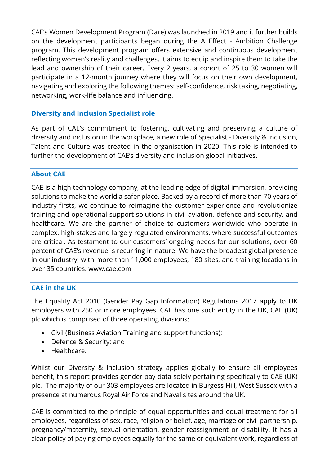CAE's Women Development Program (Dare) was launched in 2019 and it further builds on the development participants began during the A Effect - Ambition Challenge program. This development program offers extensive and continuous development reflecting women's reality and challenges. It aims to equip and inspire them to take the lead and ownership of their career. Every 2 years, a cohort of 25 to 30 women will participate in a 12-month journey where they will focus on their own development, navigating and exploring the following themes: self-confidence, risk taking, negotiating, networking, work-life balance and influencing.

## **Diversity and Inclusion Specialist role**

As part of CAE's commitment to fostering, cultivating and preserving a culture of diversity and inclusion in the workplace, a new role of Specialist - Diversity & Inclusion, Talent and Culture was created in the organisation in 2020. This role is intended to further the development of CAE's diversity and inclusion global initiatives.

#### **About CAE**

CAE is a high technology company, at the leading edge of digital immersion, providing solutions to make the world a safer place. Backed by a record of more than 70 years of industry firsts, we continue to reimagine the customer experience and revolutionize training and operational support solutions in civil aviation, defence and security, and healthcare. We are the partner of choice to customers worldwide who operate in complex, high-stakes and largely regulated environments, where successful outcomes are critical. As testament to our customers' ongoing needs for our solutions, over 60 percent of CAE's revenue is recurring in nature. We have the broadest global presence in our industry, with more than 11,000 employees, 180 sites, and training locations in over 35 countries. [www.cae.com](http://www.cae.com/)

#### **CAE in the UK**

The Equality Act 2010 (Gender Pay Gap Information) Regulations 2017 apply to UK employers with 250 or more employees. CAE has one such entity in the UK, CAE (UK) plc which is comprised of three operating divisions:

- Civil (Business Aviation Training and support functions);
- Defence & Security; and
- Healthcare.

Whilst our Diversity & Inclusion strategy applies globally to ensure all employees benefit, this report provides gender pay data solely pertaining specifically to CAE (UK) plc. The majority of our 303 employees are located in Burgess Hill, West Sussex with a presence at numerous Royal Air Force and Naval sites around the UK.

CAE is committed to the principle of equal opportunities and equal treatment for all employees, regardless of sex, race, religion or belief, age, marriage or civil partnership, pregnancy/maternity, sexual orientation, gender reassignment or disability. It has a clear policy of paying employees equally for the same or equivalent work, regardless of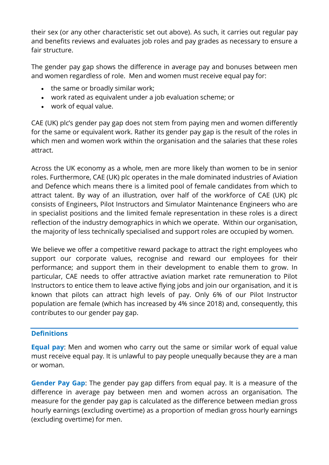their sex (or any other characteristic set out above). As such, it carries out regular pay and benefits reviews and evaluates job roles and pay grades as necessary to ensure a fair structure.

The gender pay gap shows the difference in average pay and bonuses between men and women regardless of role. Men and women must receive equal pay for:

- the same or broadly similar work;
- work rated as equivalent under a job evaluation scheme; or
- work of equal value.

CAE (UK) plc's gender pay gap does not stem from paying men and women differently for the same or equivalent work. Rather its gender pay gap is the result of the roles in which men and women work within the organisation and the salaries that these roles attract.

Across the UK economy as a whole, men are more likely than women to be in senior roles. Furthermore, CAE (UK) plc operates in the male dominated industries of Aviation and Defence which means there is a limited pool of female candidates from which to attract talent. By way of an illustration, over half of the workforce of CAE (UK) plc consists of Engineers, Pilot Instructors and Simulator Maintenance Engineers who are in specialist positions and the limited female representation in these roles is a direct reflection of the industry demographics in which we operate. Within our organisation, the majority of less technically specialised and support roles are occupied by women.

We believe we offer a competitive reward package to attract the right employees who support our corporate values, recognise and reward our employees for their performance; and support them in their development to enable them to grow. In particular, CAE needs to offer attractive aviation market rate remuneration to Pilot Instructors to entice them to leave active flying jobs and join our organisation, and it is known that pilots can attract high levels of pay. Only 6% of our Pilot Instructor population are female (which has increased by 4% since 2018) and, consequently, this contributes to our gender pay gap.

## **Definitions**

**Equal pay**: Men and women who carry out the same or similar work of equal value must receive equal pay. It is unlawful to pay people unequally because they are a man or woman.

**Gender Pay Gap**: The gender pay gap differs from equal pay. It is a measure of the difference in average pay between men and women across an organisation. The measure for the gender pay gap is calculated as the difference between median gross hourly earnings (excluding overtime) as a proportion of median gross hourly earnings (excluding overtime) for men.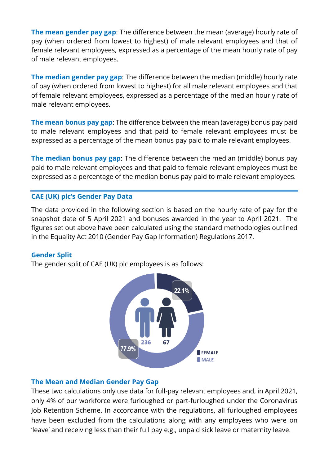**The mean gender pay gap**: The difference between the mean (average) hourly rate of pay (when ordered from lowest to highest) of male relevant employees and that of female relevant employees, expressed as a percentage of the mean hourly rate of pay of male relevant employees.

**The median gender pay gap**: The difference between the median (middle) hourly rate of pay (when ordered from lowest to highest) for all male relevant employees and that of female relevant employees, expressed as a percentage of the median hourly rate of male relevant employees.

**The mean bonus pay gap**: The difference between the mean (average) bonus pay paid to male relevant employees and that paid to female relevant employees must be expressed as a percentage of the mean bonus pay paid to male relevant employees.

**The median bonus pay gap**: The difference between the median (middle) bonus pay paid to male relevant employees and that paid to female relevant employees must be expressed as a percentage of the median bonus pay paid to male relevant employees.

## **CAE (UK) plc's Gender Pay Data**

The data provided in the following section is based on the hourly rate of pay for the snapshot date of 5 April 2021 and bonuses awarded in the year to April 2021. The figures set out above have been calculated using the standard methodologies outlined in the Equality Act 2010 (Gender Pay Gap Information) Regulations 2017.

#### **Gender Split**

The gender split of CAE (UK) plc employees is as follows:



## **The Mean and Median Gender Pay Gap**

These two calculations only use data for full-pay relevant employees and, in April 2021, only 4% of our workforce were furloughed or part-furloughed under the Coronavirus Job Retention Scheme. In accordance with the regulations, all furloughed employees have been excluded from the calculations along with any employees who were on 'leave' and receiving less than their full pay e.g., unpaid sick leave or maternity leave.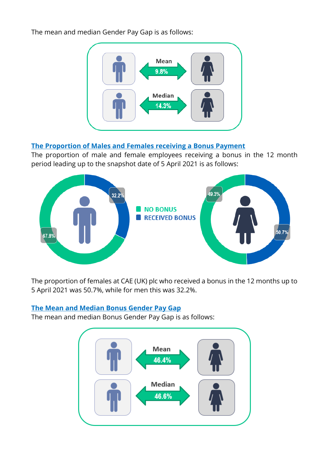The mean and median Gender Pay Gap is as follows:



## **The Proportion of Males and Females receiving a Bonus Payment**

The proportion of male and female employees receiving a bonus in the 12 month period leading up to the snapshot date of 5 April 2021 is as follows:



The proportion of females at CAE (UK) plc who received a bonus in the 12 months up to 5 April 2021 was 50.7%, while for men this was 32.2%.

# **The Mean and Median Bonus Gender Pay Gap**

The mean and median Bonus Gender Pay Gap is as follows:

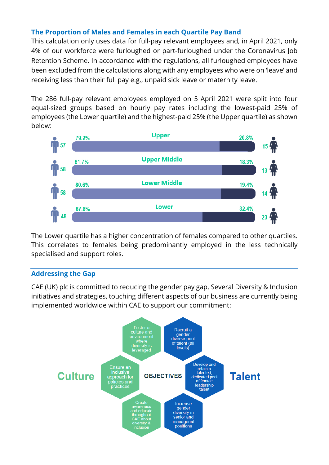## **The Proportion of Males and Females in each Quartile Pay Band**

This calculation only uses data for full-pay relevant employees and, in April 2021, only 4% of our workforce were furloughed or part-furloughed under the Coronavirus Job Retention Scheme. In accordance with the regulations, all furloughed employees have been excluded from the calculations along with any employees who were on 'leave' and receiving less than their full pay e.g., unpaid sick leave or maternity leave.

The 286 full-pay relevant employees employed on 5 April 2021 were split into four equal-sized groups based on hourly pay rates including the lowest-paid 25% of employees (the Lower quartile) and the highest-paid 25% (the Upper quartile) as shown below:



The Lower quartile has a higher concentration of females compared to other quartiles. This correlates to females being predominantly employed in the less technically specialised and support roles.

## **Addressing the Gap**

CAE (UK) plc is committed to reducing the gender pay gap. Several Diversity & Inclusion initiatives and strategies, touching different aspects of our business are currently being implemented worldwide within CAE to support our commitment:

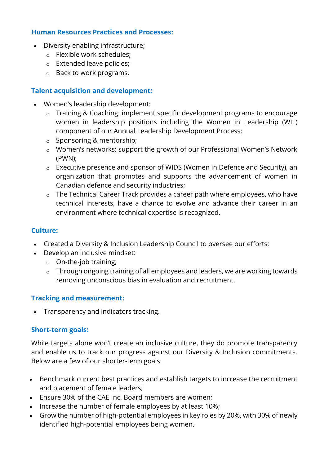#### **Human Resources Practices and Processes:**

- Diversity enabling infrastructure;
	- o Flexible work schedules;
	- o Extended leave policies;
	- o Back to work programs.

# **Talent acquisition and development:**

- Women's leadership development:
	- o Training & Coaching: implement specific development programs to encourage women in leadership positions including the Women in Leadership (WIL) component of our Annual Leadership Development Process;
	- o Sponsoring & mentorship;
	- o Women's networks: support the growth of our Professional Women's Network (PWN);
	- o Executive presence and sponsor of WIDS (Women in Defence and Security), an organization that promotes and supports the advancement of women in Canadian defence and security industries;
	- o The Technical Career Track provides a career path where employees, who have technical interests, have a chance to evolve and advance their career in an environment where technical expertise is recognized.

## **Culture:**

- Created a Diversity & Inclusion Leadership Council to oversee our efforts;
- Develop an inclusive mindset:
	- o On-the-job training;
	- o Through ongoing training of all employees and leaders, we are working towards removing unconscious bias in evaluation and recruitment.

## **Tracking and measurement:**

• Transparency and indicators tracking.

## **Short-term goals:**

While targets alone won't create an inclusive culture, they do promote transparency and enable us to track our progress against our Diversity & Inclusion commitments. Below are a few of our shorter-term goals:

- Benchmark current best practices and establish targets to increase the recruitment and placement of female leaders;
- Ensure 30% of the CAE Inc. Board members are women;
- Increase the number of female employees by at least 10%;
- Grow the number of high-potential employees in key roles by 20%, with 30% of newly identified high-potential employees being women.